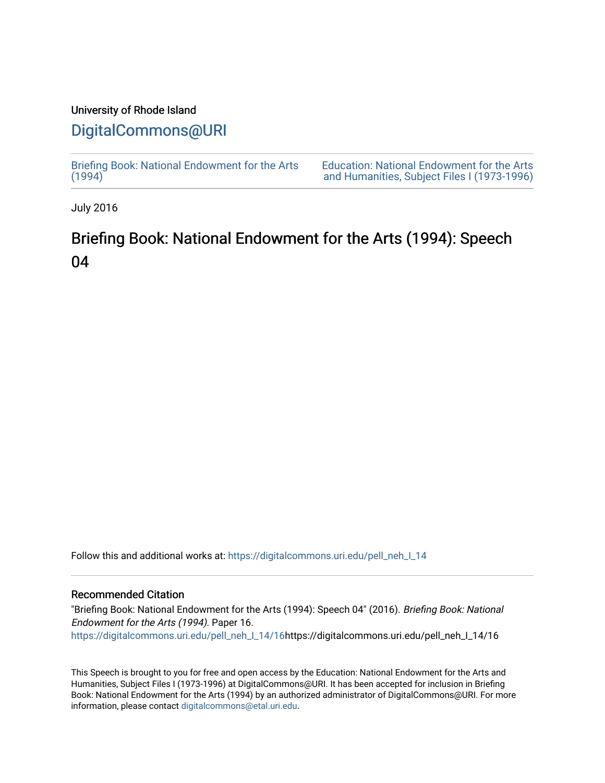# University of Rhode Island

# [DigitalCommons@URI](https://digitalcommons.uri.edu/)

[Briefing Book: National Endowment for the Arts](https://digitalcommons.uri.edu/pell_neh_I_14)  $(1994)$ 

[Education: National Endowment for the Arts](https://digitalcommons.uri.edu/pell_neh_I)  [and Humanities, Subject Files I \(1973-1996\)](https://digitalcommons.uri.edu/pell_neh_I) 

July 2016

# Briefing Book: National Endowment for the Arts (1994): Speech 04

Follow this and additional works at: [https://digitalcommons.uri.edu/pell\\_neh\\_I\\_14](https://digitalcommons.uri.edu/pell_neh_I_14?utm_source=digitalcommons.uri.edu%2Fpell_neh_I_14%2F16&utm_medium=PDF&utm_campaign=PDFCoverPages) 

# Recommended Citation

"Briefing Book: National Endowment for the Arts (1994): Speech 04" (2016). Briefing Book: National Endowment for the Arts (1994). Paper 16. [https://digitalcommons.uri.edu/pell\\_neh\\_I\\_14/16h](https://digitalcommons.uri.edu/pell_neh_I_14/16?utm_source=digitalcommons.uri.edu%2Fpell_neh_I_14%2F16&utm_medium=PDF&utm_campaign=PDFCoverPages)ttps://digitalcommons.uri.edu/pell\_neh\_I\_14/16

This Speech is brought to you for free and open access by the Education: National Endowment for the Arts and Humanities, Subject Files I (1973-1996) at DigitalCommons@URI. It has been accepted for inclusion in Briefing Book: National Endowment for the Arts (1994) by an authorized administrator of DigitalCommons@URI. For more information, please contact [digitalcommons@etal.uri.edu.](mailto:digitalcommons@etal.uri.edu)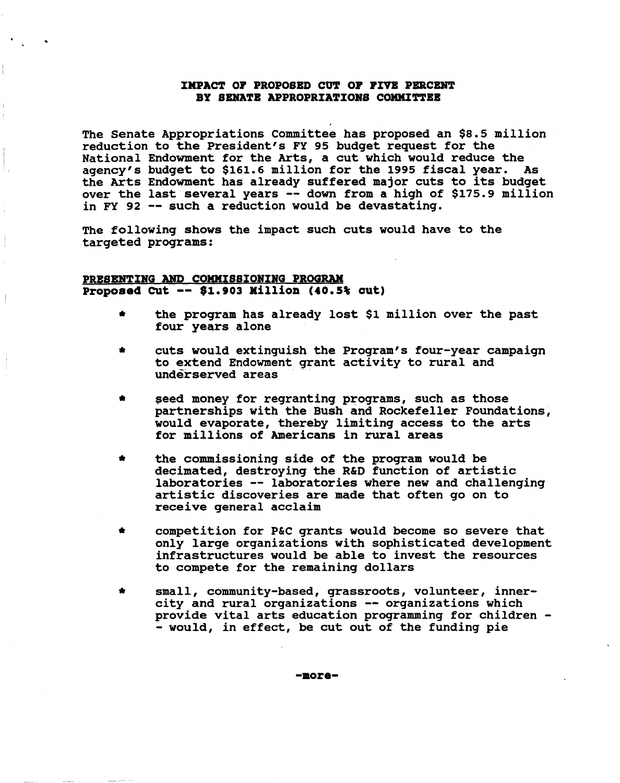# IMPACT OF PROPOSED CUT OF FIVE PERCENT BY SENATE APPROPRIATIONS COMMITTEE

The Senate Appropriations Committee has proposed an \$8.5 million reduction to the President's FY 95 budget request for the National Endowment for the Arts, a cut which would reduce the agency's budget to \$161.6 million for the 1995 fiscal year. As the Arts Endowment has already suffered major cuts to its budget over the last several years -- down from a high of \$175.9 million in FY 92 -- such a reduction would be devastating.

The following shows the impact such cuts would have to the targeted programs:

# PRBSBNTING AND COMMISSIONING PROGRAM Proposed cut -- \$1.903 Killion (40.5% cut)

- the program has already lost \$1 million over the past four years alone
- cuts would extinguish the Program's four-year campaign to extend Endowment grant activity to rural and underserved areas
- \* seed money for regranting programs, such as those partnerships with the Bush and Rockefeller Foundations, would evaporate, thereby limiting access to the arts for millions of Americans in rural areas
- the commissioning side of the program would be decimated, destroying the R&D function of artistic laboratories -- laboratories where new and challenging artistic discoveries are made that often go on to receive general acclaim
- competition for P&C grants would become so severe that only large organizations with sophisticated development infrastructures would be able to invest the resources to compete for the remaining dollars
- small, community-based, grassroots, volunteer, innercity and rural organizations -- organizations which provide vital arts education programming for children - - would, in effect, be cut out of the funding pie

-aore-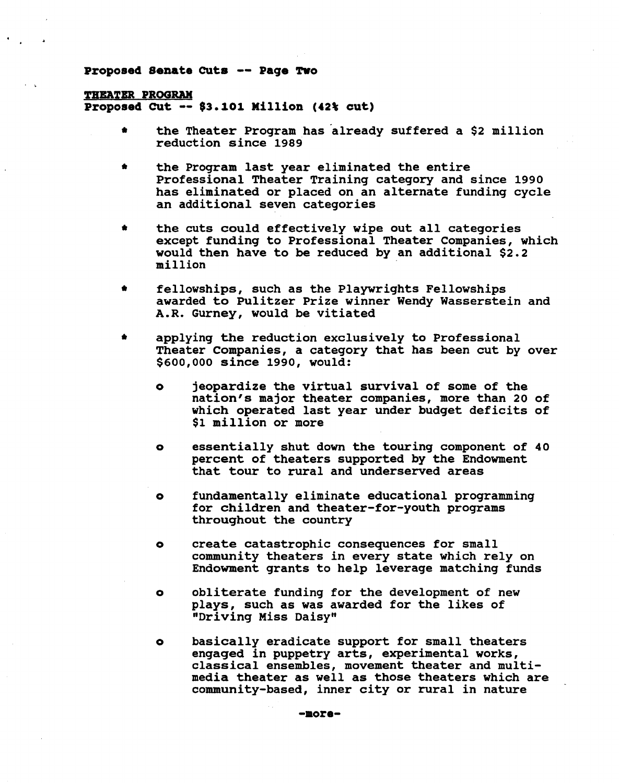#### Proposed Senate Cuts -- Paqe Two

#### THEATER PROGRAM

Proposed cut -- \$3.101 Million (42\ cut)

- the Theater Program has already suffered a \$2 million reduction since 1989
- the Program last year eliminated the entire Professional Theater Training category and since 1990 has eliminated or placed on an alternate funding cycle an additional seven categories
- the cuts could effectively wipe out all categories except funding to Professional Theater Companies, which would then have to be reduced by an additional \$2.2 million
- fellowships, such as the Playwrights Fellowships awarded to Pulitzer Prize winner Wendy Wasserstein and A.R. Gurney, would be vitiated
- applying the reduction exclusively to Professional Theater Companies, a category that has been cut by over \$600,000 since 1990, would:
	- o jeopardize the virtual survival of some of the nation's major theater companies, more than 20 of which operated last year under budget deficits of \$1 million or more
	- o essentially shut down the touring component of 40 percent of theaters supported by the Endowment that tour to rural and underserved areas
	- o fundamentally eliminate educational programming for children and theater-for-youth programs throughout the country
	- o create catastrophic consequences for small community theaters in every state which rely on Endowment grants to help leverage matching funds
	- o obliterate funding for the development of new plays, such as was awarded for the likes of "Driving Miss Daisy"
	- o basically eradicate support for small theaters engaged in puppetry arts, experimental works, classical ensembles, movement theater and multimedia theater as well as those theaters which are community-based, inner city or rural in nature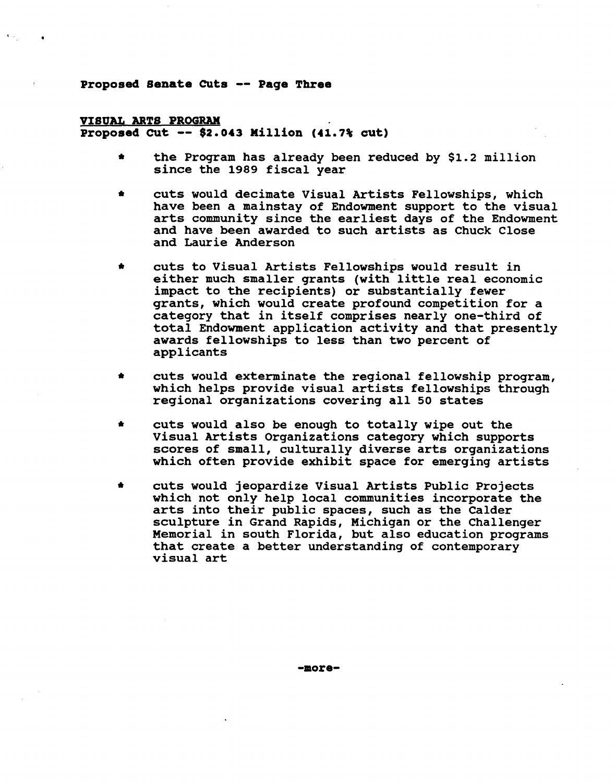### Proposed Senate CUts -- Paqe Three

# VISUAL ARTS PROGRAM Proposed cut -- \$2.043 Million (41.7% cut)

- \* the Program has already been reduced by \$1.2 million since the 1989 fiscal year
- cuts would decimate Visual Artists Fellowships, which have been a mainstay of Endowment support to the visual arts community since the earliest days of the Endowment and have been awarded to such artists as Chuck Close and Laurie Anderson
- cuts to Visual Artists Fellowships would result in either much smaller grants (with little real economic impact to the recipients) or substantially fewer grants, which would create profound competition for a category that in itself comprises nearly one-third of total Endowment application activity and that presently awards fellowships to less than two percent of applicants
- cuts would exterminate the regional fellowship program, which helps provide visual artists fellowships through regional organizations covering all 50 states
- \* cuts would also be enough to totally wipe out the Visual Artists Organizations category which supports scores of small, culturally diverse arts organizations which often provide exhibit space for emerging artists
- \* cuts would jeopardize Visual Artists Public Projects which not only help local communities incorporate the arts into their public spaces, such as the Calder sculpture in Grand Rapids, Michigan or the Challenger Memorial in south Florida, but also education programs that create a better understanding of contemporary visual art